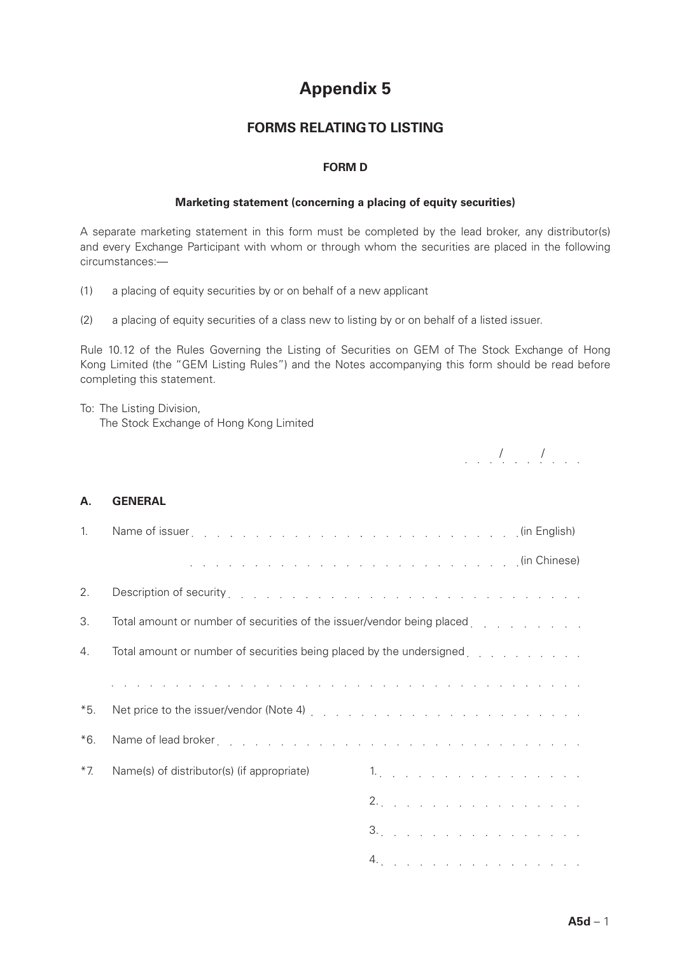# **Appendix 5**

## **FORMS RELATING TO LISTING**

### **FORM D**

### **Marketing statement (concerning a placing of equity securities)**

A separate marketing statement in this form must be completed by the lead broker, any distributor(s) and every Exchange Participant with whom or through whom the securities are placed in the following circumstances:—

- (1) a placing of equity securities by or on behalf of a new applicant
- (2) a placing of equity securities of a class new to listing by or on behalf of a listed issuer.

Rule 10.12 of the Rules Governing the Listing of Securities on GEM of The Stock Exchange of Hong Kong Limited (the "GEM Listing Rules") and the Notes accompanying this form should be read before completing this statement.

## To: The Listing Division,

The Stock Exchange of Hong Kong Limited

*. . . . . . . . . .* 

### **A. GENERAL**

| 1.    |                                                                                                                                                                                                                                |    |
|-------|--------------------------------------------------------------------------------------------------------------------------------------------------------------------------------------------------------------------------------|----|
|       |                                                                                                                                                                                                                                |    |
| 2.    | Description of security entering to the contract of the contract of the contract of the contract of the contract of the contract of the contract of the contract of the contract of the contract of the contract of the contra |    |
| 3.    | Total amount or number of securities of the issuer/vendor being placed contact and contact the contact of the s                                                                                                                |    |
| 4.    | Total amount or number of securities being placed by the undersigned contact and contact and contact and amount                                                                                                                |    |
|       | a de la caractería de la caractería de la caractería de la caractería de la caractería de la caractería                                                                                                                        |    |
| $*5.$ |                                                                                                                                                                                                                                |    |
| $*6.$ | Name of lead broker enterstace and contact the contact of the contact of the contact of the contact of the contact of the contact of the contact of the contact of the contact of the contact of the contact of the contact of |    |
| $*7$  | Name(s) of distributor(s) (if appropriate)                                                                                                                                                                                     | 1. |
|       |                                                                                                                                                                                                                                | 2. |
|       |                                                                                                                                                                                                                                | 3. |
|       |                                                                                                                                                                                                                                | 4. |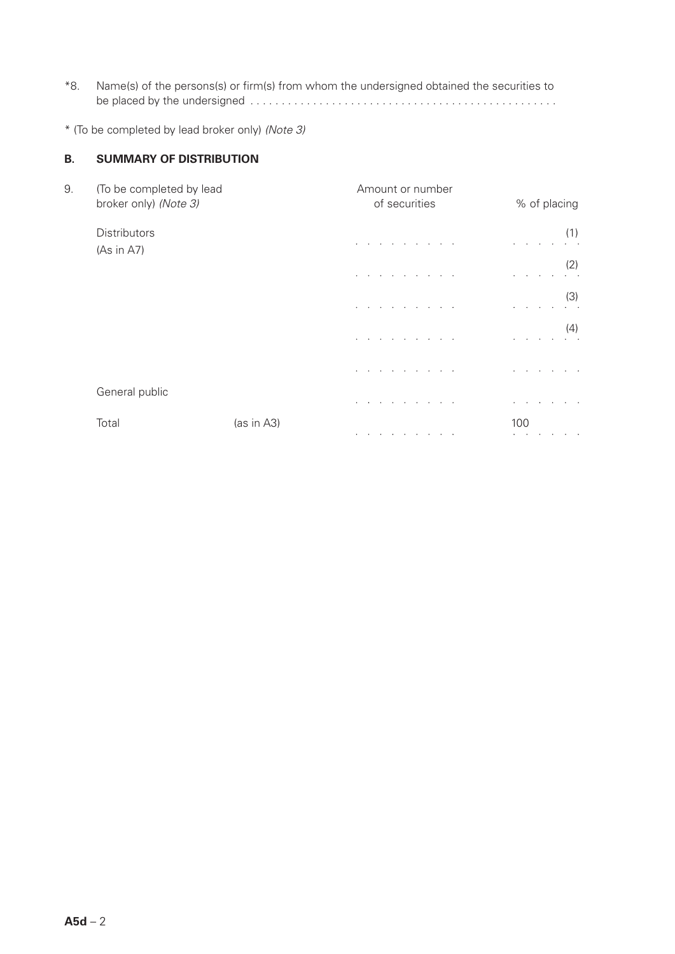\*8. Name(s) of the persons(s) or firm(s) from whom the undersigned obtained the securities to be placed by the undersigned .

\* (To be completed by lead broker only) *(Note 3)*

### **B. SUMMARY OF DISTRIBUTION**

| 9. | (To be completed by lead<br>broker only) (Note 3) |            | Amount or number<br>of securities | % of placing  |  |  |  |  |  |
|----|---------------------------------------------------|------------|-----------------------------------|---------------|--|--|--|--|--|
|    | <b>Distributors</b><br>(As in A7)                 |            |                                   | (1)           |  |  |  |  |  |
|    |                                                   |            |                                   | (2)           |  |  |  |  |  |
|    |                                                   |            |                                   | (3)           |  |  |  |  |  |
|    |                                                   |            | the company of the company of     | (4)<br>$\sim$ |  |  |  |  |  |
|    |                                                   |            | the contract of the contract of   |               |  |  |  |  |  |
|    | General public                                    |            |                                   |               |  |  |  |  |  |
|    | Total                                             | (as in A3) |                                   | 100           |  |  |  |  |  |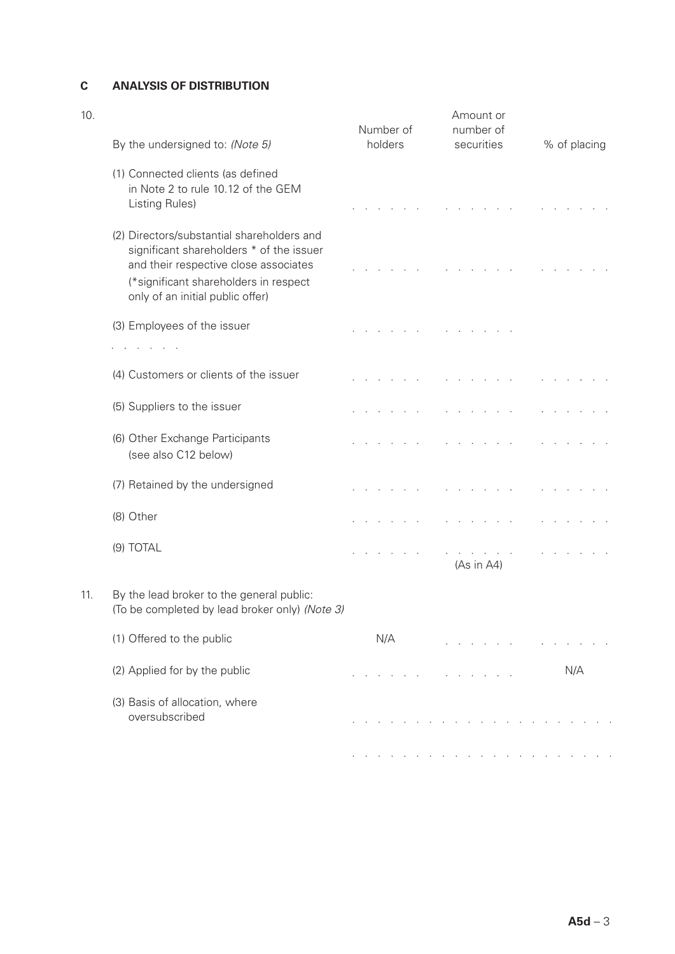## **C ANALYSIS OF DISTRIBUTION**

| 10. | By the undersigned to: (Note 5)                                                                                                                                                                              | Number of<br>holders | Amount or<br>number of<br>securities | % of placing |
|-----|--------------------------------------------------------------------------------------------------------------------------------------------------------------------------------------------------------------|----------------------|--------------------------------------|--------------|
|     | (1) Connected clients (as defined<br>in Note 2 to rule 10.12 of the GEM<br>Listing Rules)                                                                                                                    |                      |                                      |              |
|     | (2) Directors/substantial shareholders and<br>significant shareholders * of the issuer<br>and their respective close associates<br>(*significant shareholders in respect<br>only of an initial public offer) |                      |                                      |              |
|     | (3) Employees of the issuer<br><b>Contract Contract Contract</b>                                                                                                                                             |                      | and the contract of the contract of  |              |
|     | (4) Customers or clients of the issuer                                                                                                                                                                       |                      |                                      |              |
|     | (5) Suppliers to the issuer                                                                                                                                                                                  |                      |                                      |              |
|     | (6) Other Exchange Participants<br>(see also C12 below)                                                                                                                                                      |                      |                                      |              |
|     | (7) Retained by the undersigned                                                                                                                                                                              |                      |                                      |              |
|     | (8) Other                                                                                                                                                                                                    |                      |                                      |              |
|     | (9) TOTAL                                                                                                                                                                                                    |                      | (As in A4)                           |              |
| 11. | By the lead broker to the general public:<br>(To be completed by lead broker only) (Note 3)                                                                                                                  |                      |                                      |              |
|     | (1) Offered to the public                                                                                                                                                                                    | N/A                  |                                      |              |
|     | (2) Applied for by the public                                                                                                                                                                                |                      |                                      | N/A          |
|     | (3) Basis of allocation, where<br>oversubscribed                                                                                                                                                             |                      |                                      |              |
|     |                                                                                                                                                                                                              |                      |                                      |              |
|     |                                                                                                                                                                                                              |                      |                                      |              |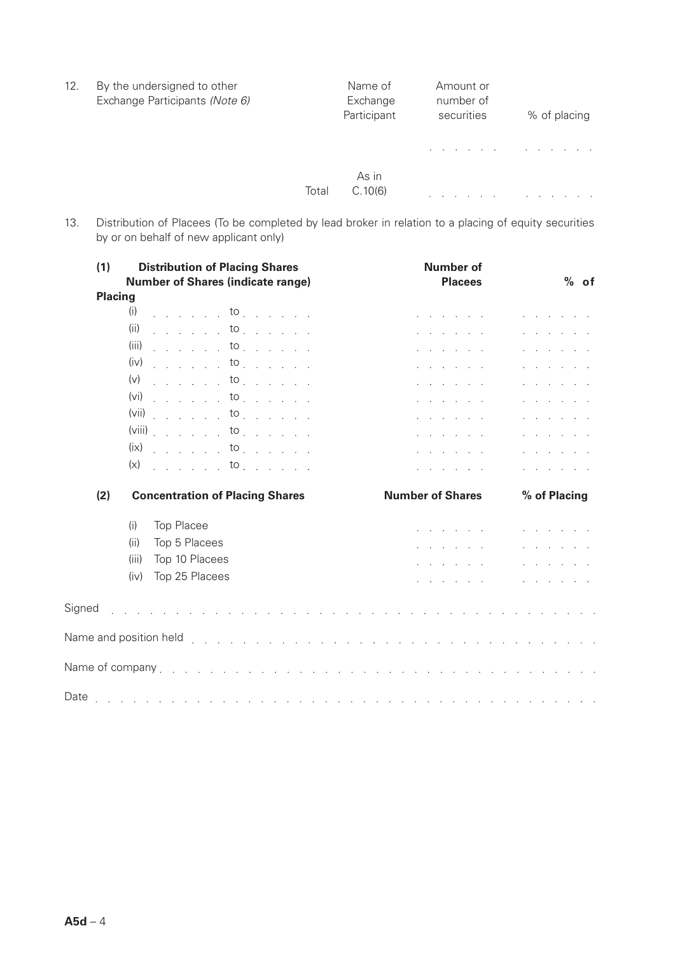| 12. | By the undersigned to other<br>Exchange Participants (Note 6) |       | Name of<br>Exchange<br>Participant | Amount or<br>number of<br>securities | % of placing |
|-----|---------------------------------------------------------------|-------|------------------------------------|--------------------------------------|--------------|
|     |                                                               |       |                                    |                                      |              |
|     |                                                               | Total | As in<br>C.10(6)                   |                                      |              |

13. Distribution of Placees (To be completed by lead broker in relation to a placing of equity securities by or on behalf of new applicant only)

| (1)            | <b>Distribution of Placing Shares</b><br><b>Number of Shares (indicate range)</b> |                |  |  | <b>Number of</b><br><b>Placees</b> |  |  |  |  |  | $%$ of                                                          |  |  |  |             |                                                                                                                                                                                                                                       |  |  |
|----------------|-----------------------------------------------------------------------------------|----------------|--|--|------------------------------------|--|--|--|--|--|-----------------------------------------------------------------|--|--|--|-------------|---------------------------------------------------------------------------------------------------------------------------------------------------------------------------------------------------------------------------------------|--|--|
| <b>Placing</b> |                                                                                   |                |  |  |                                    |  |  |  |  |  |                                                                 |  |  |  |             |                                                                                                                                                                                                                                       |  |  |
|                | (i)<br>(ii)                                                                       | $\ldots$ to    |  |  |                                    |  |  |  |  |  |                                                                 |  |  |  |             |                                                                                                                                                                                                                                       |  |  |
|                |                                                                                   | $\ldots$ to    |  |  |                                    |  |  |  |  |  |                                                                 |  |  |  |             |                                                                                                                                                                                                                                       |  |  |
|                | $(iii)$ to                                                                        |                |  |  |                                    |  |  |  |  |  |                                                                 |  |  |  |             |                                                                                                                                                                                                                                       |  |  |
|                | $(iv)$ to                                                                         |                |  |  |                                    |  |  |  |  |  | and a state of the                                              |  |  |  |             | $\mathbf{r}$ and $\mathbf{r}$ are associated to the set of the set of the set of the set of the set of the set of the set of the set of the set of the set of the set of the set of the set of the set of the set of the set of the s |  |  |
|                | $(v)$ to                                                                          |                |  |  |                                    |  |  |  |  |  | and a state of the                                              |  |  |  |             |                                                                                                                                                                                                                                       |  |  |
|                | $(vi)$ to                                                                         |                |  |  |                                    |  |  |  |  |  | and a state of the                                              |  |  |  | an an an an |                                                                                                                                                                                                                                       |  |  |
|                | $(vii)$ to                                                                        |                |  |  |                                    |  |  |  |  |  | $\mathbf{r}$ and $\mathbf{r}$ and $\mathbf{r}$ and $\mathbf{r}$ |  |  |  |             | $\mathbf{r}$ and $\mathbf{r}$ and $\mathbf{r}$ and $\mathbf{r}$                                                                                                                                                                       |  |  |
|                | $(viii)$ to                                                                       |                |  |  |                                    |  |  |  |  |  | and a state of the state                                        |  |  |  |             | $\mathbf{r}$ and $\mathbf{r}$ are the set of $\mathbf{r}$                                                                                                                                                                             |  |  |
|                | $(ix)$ to                                                                         |                |  |  |                                    |  |  |  |  |  | a na manana na                                                  |  |  |  |             |                                                                                                                                                                                                                                       |  |  |
|                | $(x)$ to                                                                          |                |  |  |                                    |  |  |  |  |  | .                                                               |  |  |  |             | and a state of the state of the state of                                                                                                                                                                                              |  |  |
| (2)            | <b>Concentration of Placing Shares</b>                                            |                |  |  | <b>Number of Shares</b>            |  |  |  |  |  | % of Placing                                                    |  |  |  |             |                                                                                                                                                                                                                                       |  |  |
|                | <b>Top Placee</b><br>(i)                                                          |                |  |  |                                    |  |  |  |  |  | and a state of the state                                        |  |  |  |             | $\mathbf{r}$ and $\mathbf{r}$ and $\mathbf{r}$ and $\mathbf{r}$                                                                                                                                                                       |  |  |
|                | (ii)                                                                              | Top 5 Placees  |  |  |                                    |  |  |  |  |  | and a state of the state                                        |  |  |  |             | and a state of the state                                                                                                                                                                                                              |  |  |
|                | (iii)                                                                             | Top 10 Placees |  |  |                                    |  |  |  |  |  | a construction and                                              |  |  |  |             |                                                                                                                                                                                                                                       |  |  |
|                | (iv)                                                                              | Top 25 Placees |  |  |                                    |  |  |  |  |  | .                                                               |  |  |  |             |                                                                                                                                                                                                                                       |  |  |
| Signed         |                                                                                   |                |  |  |                                    |  |  |  |  |  |                                                                 |  |  |  |             |                                                                                                                                                                                                                                       |  |  |
|                |                                                                                   |                |  |  |                                    |  |  |  |  |  |                                                                 |  |  |  |             |                                                                                                                                                                                                                                       |  |  |
|                |                                                                                   |                |  |  |                                    |  |  |  |  |  |                                                                 |  |  |  |             |                                                                                                                                                                                                                                       |  |  |
|                |                                                                                   |                |  |  |                                    |  |  |  |  |  |                                                                 |  |  |  |             |                                                                                                                                                                                                                                       |  |  |